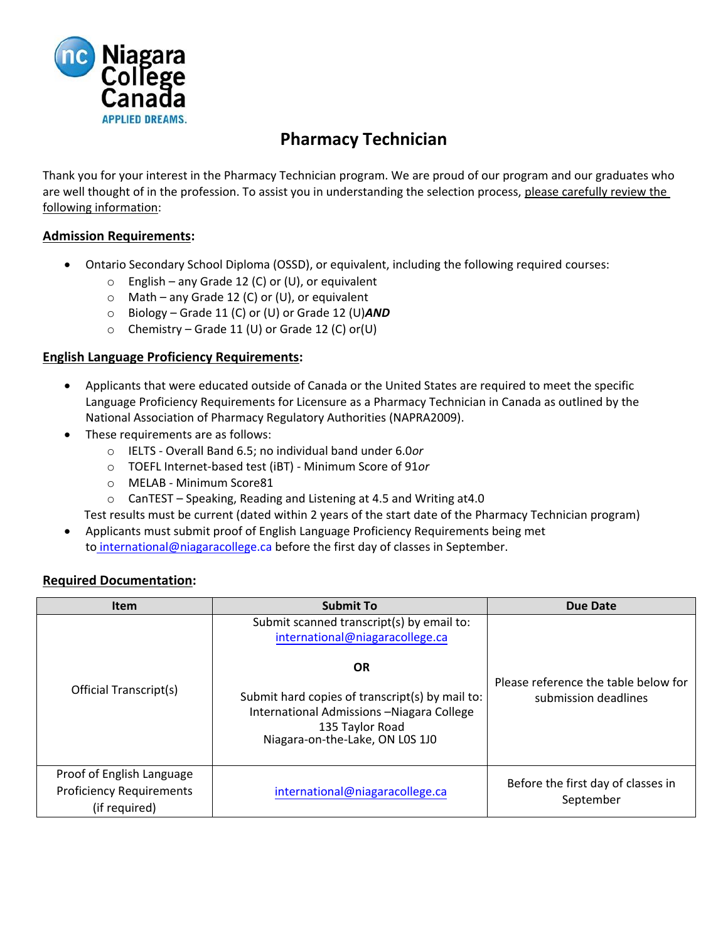

# **Pharmacy Technician**

Thank you for your interest in the Pharmacy Technician program. We are proud of our program and our graduates who are well thought of in the profession. To assist you in understanding the selection process, please carefully review the following information:

## **Admission Requirements:**

- Ontario Secondary School Diploma (OSSD), or equivalent, including the following required courses:
	- $\circ$  English any Grade 12 (C) or (U), or equivalent
	- $\circ$  Math any Grade 12 (C) or (U), or equivalent
	- o Biology Grade 11 (C) or (U) or Grade 12 (U)*AND*
	- $\circ$  Chemistry Grade 11 (U) or Grade 12 (C) or (U)

## **English Language Proficiency Requirements:**

- Applicants that were educated outside of Canada or the United States are required to meet the specific Language Proficiency Requirements for Licensure as a Pharmacy Technician in Canada as outlined by the National Association of Pharmacy Regulatory Authorities (NAPRA2009).
- These requirements are as follows:
	- o IELTS Overall Band 6.5; no individual band under 6.0*or*
	- o TOEFL Internet-based test (iBT) Minimum Score of 91*or*
	- o MELAB Minimum Score81
	- o CanTEST Speaking, Reading and Listening at 4.5 and Writing at4.0

Test results must be current (dated within 2 years of the start date of the Pharmacy Technician program)

• Applicants must submit proof of English Language Proficiency Requirements being met to international[@niagaracollege.ca b](mailto:intlapply@niagaracollege.ca)efore the first day of classes in September.

#### **Required Documentation:**

| <b>Item</b>                                                                   | <b>Submit To</b>                                                                                                                                    | <b>Due Date</b>                                              |  |
|-------------------------------------------------------------------------------|-----------------------------------------------------------------------------------------------------------------------------------------------------|--------------------------------------------------------------|--|
|                                                                               | Submit scanned transcript(s) by email to:<br>international@niagaracollege.ca                                                                        | Please reference the table below for<br>submission deadlines |  |
| Official Transcript(s)                                                        | <b>OR</b>                                                                                                                                           |                                                              |  |
|                                                                               | Submit hard copies of transcript(s) by mail to:<br>International Admissions - Niagara College<br>135 Taylor Road<br>Niagara-on-the-Lake, ON L0S 1J0 |                                                              |  |
| Proof of English Language<br><b>Proficiency Requirements</b><br>(if required) | international@niagaracollege.ca                                                                                                                     | Before the first day of classes in<br>September              |  |